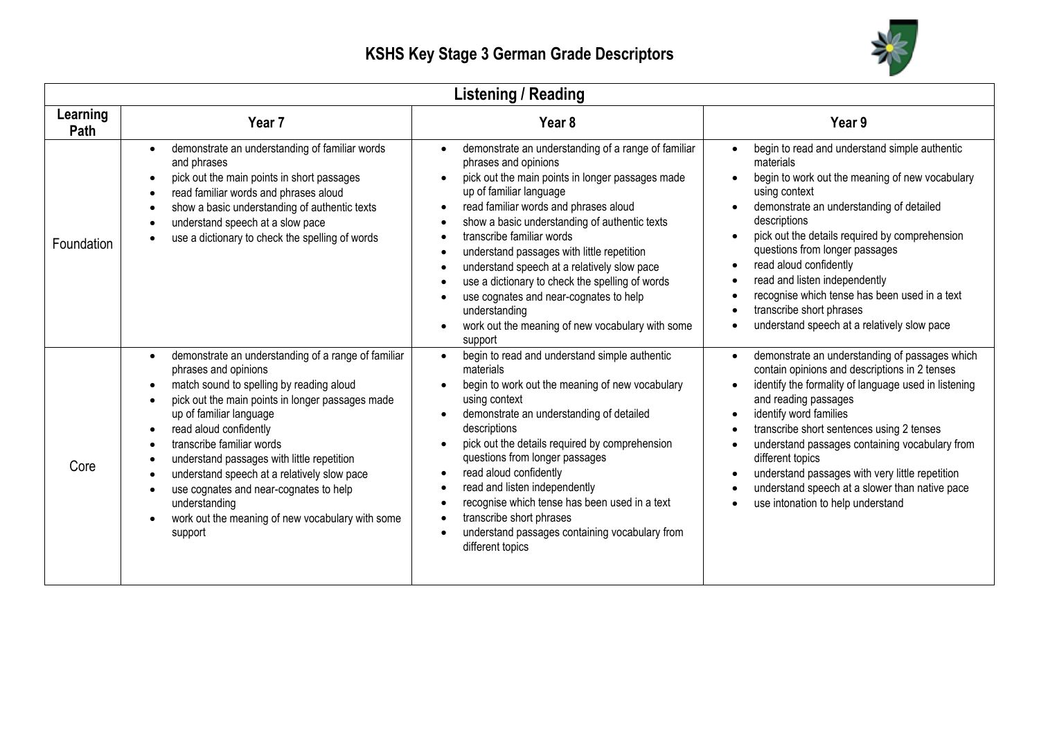

| <b>Listening / Reading</b> |                                                                                                                                                                                                                                                                                                                                                                                                                                                                                                                                                                                                           |                                                                                                                                                                                                                                                                                                                                                                                                                                                                                                                                                                                                    |                                                                                                                                                                                                                                                                                                                                                                                                                                                                                                                                        |
|----------------------------|-----------------------------------------------------------------------------------------------------------------------------------------------------------------------------------------------------------------------------------------------------------------------------------------------------------------------------------------------------------------------------------------------------------------------------------------------------------------------------------------------------------------------------------------------------------------------------------------------------------|----------------------------------------------------------------------------------------------------------------------------------------------------------------------------------------------------------------------------------------------------------------------------------------------------------------------------------------------------------------------------------------------------------------------------------------------------------------------------------------------------------------------------------------------------------------------------------------------------|----------------------------------------------------------------------------------------------------------------------------------------------------------------------------------------------------------------------------------------------------------------------------------------------------------------------------------------------------------------------------------------------------------------------------------------------------------------------------------------------------------------------------------------|
| Learning<br>Path           | Year <sub>7</sub>                                                                                                                                                                                                                                                                                                                                                                                                                                                                                                                                                                                         | Year <sub>8</sub>                                                                                                                                                                                                                                                                                                                                                                                                                                                                                                                                                                                  | Year 9                                                                                                                                                                                                                                                                                                                                                                                                                                                                                                                                 |
| Foundation                 | demonstrate an understanding of familiar words<br>$\bullet$<br>and phrases<br>pick out the main points in short passages<br>$\bullet$<br>read familiar words and phrases aloud<br>$\bullet$<br>show a basic understanding of authentic texts<br>$\bullet$<br>understand speech at a slow pace<br>$\bullet$<br>use a dictionary to check the spelling of words<br>$\bullet$                                                                                                                                                                                                                                | demonstrate an understanding of a range of familiar<br>$\bullet$<br>phrases and opinions<br>pick out the main points in longer passages made<br>up of familiar language<br>read familiar words and phrases aloud<br>show a basic understanding of authentic texts<br>$\bullet$<br>transcribe familiar words<br>understand passages with little repetition<br>$\bullet$<br>understand speech at a relatively slow pace<br>use a dictionary to check the spelling of words<br>use cognates and near-cognates to help<br>understanding<br>work out the meaning of new vocabulary with some<br>support | begin to read and understand simple authentic<br>$\bullet$<br>materials<br>begin to work out the meaning of new vocabulary<br>$\bullet$<br>using context<br>demonstrate an understanding of detailed<br>descriptions<br>pick out the details required by comprehension<br>$\bullet$<br>questions from longer passages<br>read aloud confidently<br>$\bullet$<br>read and listen independently<br>$\bullet$<br>recognise which tense has been used in a text<br>transcribe short phrases<br>understand speech at a relatively slow pace |
| Core                       | demonstrate an understanding of a range of familiar<br>$\bullet$<br>phrases and opinions<br>match sound to spelling by reading aloud<br>$\bullet$<br>pick out the main points in longer passages made<br>$\bullet$<br>up of familiar language<br>read aloud confidently<br>$\bullet$<br>transcribe familiar words<br>$\bullet$<br>understand passages with little repetition<br>$\bullet$<br>understand speech at a relatively slow pace<br>$\bullet$<br>use cognates and near-cognates to help<br>$\bullet$<br>understanding<br>work out the meaning of new vocabulary with some<br>$\bullet$<br>support | begin to read and understand simple authentic<br>materials<br>begin to work out the meaning of new vocabulary<br>using context<br>demonstrate an understanding of detailed<br>descriptions<br>pick out the details required by comprehension<br>$\bullet$<br>questions from longer passages<br>read aloud confidently<br>$\bullet$<br>read and listen independently<br>$\bullet$<br>recognise which tense has been used in a text<br>transcribe short phrases<br>$\bullet$<br>understand passages containing vocabulary from<br>$\bullet$<br>different topics                                      | demonstrate an understanding of passages which<br>contain opinions and descriptions in 2 tenses<br>identify the formality of language used in listening<br>$\bullet$<br>and reading passages<br>identify word families<br>$\bullet$<br>transcribe short sentences using 2 tenses<br>understand passages containing vocabulary from<br>$\bullet$<br>different topics<br>understand passages with very little repetition<br>understand speech at a slower than native pace<br>use intonation to help understand                          |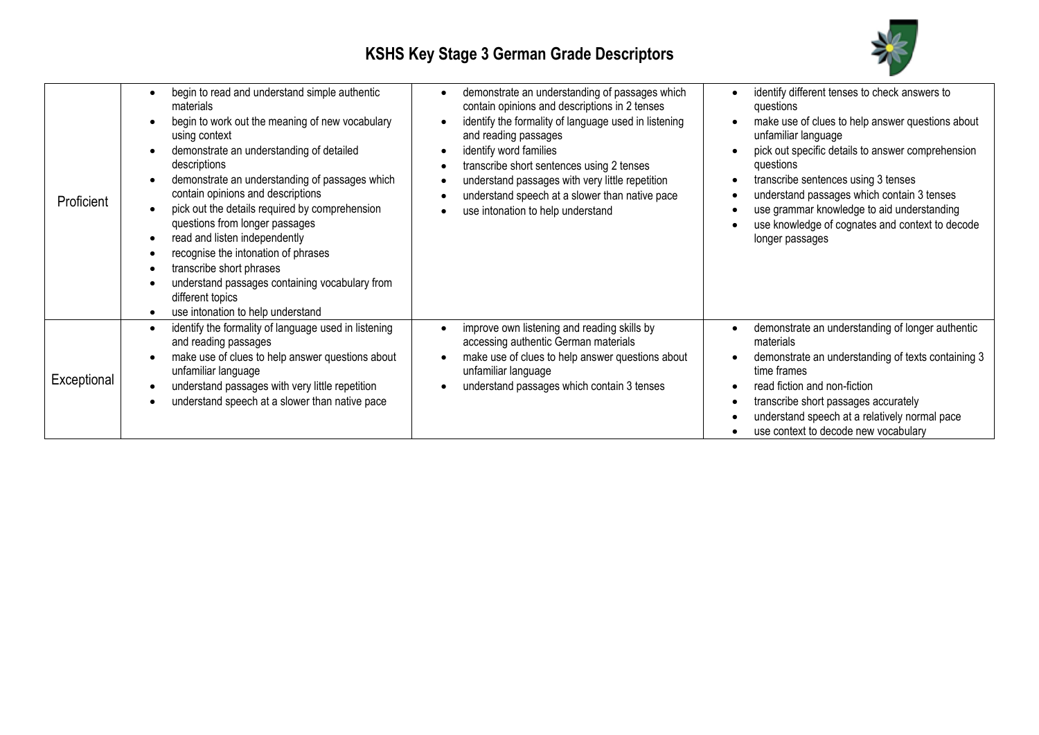

| Proficient  | begin to read and understand simple authentic<br>materials<br>begin to work out the meaning of new vocabulary<br>using context<br>demonstrate an understanding of detailed<br>descriptions<br>demonstrate an understanding of passages which<br>contain opinions and descriptions<br>pick out the details required by comprehension<br>$\bullet$<br>questions from longer passages<br>read and listen independently<br>recognise the intonation of phrases<br>transcribe short phrases<br>understand passages containing vocabulary from<br>different topics<br>use intonation to help understand<br>$\bullet$ | demonstrate an understanding of passages which<br>contain opinions and descriptions in 2 tenses<br>identify the formality of language used in listening<br>and reading passages<br>identify word families<br>transcribe short sentences using 2 tenses<br>understand passages with very little repetition<br>understand speech at a slower than native pace<br>use intonation to help understand | identify different tenses to check answers to<br>questions<br>make use of clues to help answer questions about<br>unfamiliar language<br>pick out specific details to answer comprehension<br>questions<br>transcribe sentences using 3 tenses<br>understand passages which contain 3 tenses<br>use grammar knowledge to aid understanding<br>use knowledge of cognates and context to decode<br>longer passages |
|-------------|----------------------------------------------------------------------------------------------------------------------------------------------------------------------------------------------------------------------------------------------------------------------------------------------------------------------------------------------------------------------------------------------------------------------------------------------------------------------------------------------------------------------------------------------------------------------------------------------------------------|--------------------------------------------------------------------------------------------------------------------------------------------------------------------------------------------------------------------------------------------------------------------------------------------------------------------------------------------------------------------------------------------------|------------------------------------------------------------------------------------------------------------------------------------------------------------------------------------------------------------------------------------------------------------------------------------------------------------------------------------------------------------------------------------------------------------------|
| Exceptional | identify the formality of language used in listening<br>$\bullet$<br>and reading passages<br>make use of clues to help answer questions about<br>$\bullet$<br>unfamiliar language<br>understand passages with very little repetition<br>$\bullet$<br>understand speech at a slower than native pace                                                                                                                                                                                                                                                                                                            | improve own listening and reading skills by<br>accessing authentic German materials<br>make use of clues to help answer questions about<br>unfamiliar language<br>understand passages which contain 3 tenses                                                                                                                                                                                     | demonstrate an understanding of longer authentic<br>materials<br>demonstrate an understanding of texts containing 3<br>time frames<br>read fiction and non-fiction<br>transcribe short passages accurately<br>understand speech at a relatively normal pace<br>use context to decode new vocabulary                                                                                                              |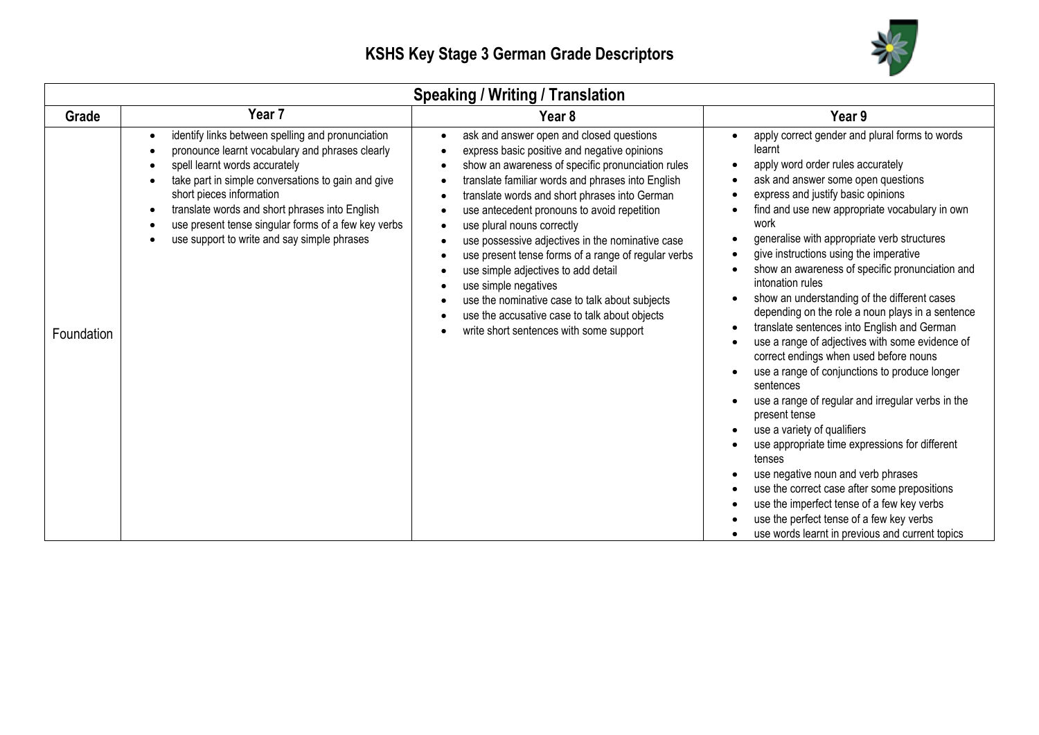

| <b>Speaking / Writing / Translation</b> |                                                                                                                                                                                                                                                                                                                                                                                                                                                                    |                                                                                                                                                                                                                                                                                                                                                                                                                                                                                                                                                                                                                                                                       |                                                                                                                                                                                                                                                                                                                                                                                                                                                                                                                                                                                                                                                                                                                                                                                                                                                                                                                                                                                                                                                                                                                                                      |
|-----------------------------------------|--------------------------------------------------------------------------------------------------------------------------------------------------------------------------------------------------------------------------------------------------------------------------------------------------------------------------------------------------------------------------------------------------------------------------------------------------------------------|-----------------------------------------------------------------------------------------------------------------------------------------------------------------------------------------------------------------------------------------------------------------------------------------------------------------------------------------------------------------------------------------------------------------------------------------------------------------------------------------------------------------------------------------------------------------------------------------------------------------------------------------------------------------------|------------------------------------------------------------------------------------------------------------------------------------------------------------------------------------------------------------------------------------------------------------------------------------------------------------------------------------------------------------------------------------------------------------------------------------------------------------------------------------------------------------------------------------------------------------------------------------------------------------------------------------------------------------------------------------------------------------------------------------------------------------------------------------------------------------------------------------------------------------------------------------------------------------------------------------------------------------------------------------------------------------------------------------------------------------------------------------------------------------------------------------------------------|
| Grade                                   | Year 7                                                                                                                                                                                                                                                                                                                                                                                                                                                             | Year <sub>8</sub>                                                                                                                                                                                                                                                                                                                                                                                                                                                                                                                                                                                                                                                     | Year 9                                                                                                                                                                                                                                                                                                                                                                                                                                                                                                                                                                                                                                                                                                                                                                                                                                                                                                                                                                                                                                                                                                                                               |
| Foundation                              | identify links between spelling and pronunciation<br>$\bullet$<br>pronounce learnt vocabulary and phrases clearly<br>$\bullet$<br>spell learnt words accurately<br>$\bullet$<br>take part in simple conversations to gain and give<br>$\bullet$<br>short pieces information<br>translate words and short phrases into English<br>$\bullet$<br>use present tense singular forms of a few key verbs<br>٠<br>use support to write and say simple phrases<br>$\bullet$ | ask and answer open and closed questions<br>express basic positive and negative opinions<br>show an awareness of specific pronunciation rules<br>translate familiar words and phrases into English<br>translate words and short phrases into German<br>use antecedent pronouns to avoid repetition<br>use plural nouns correctly<br>$\bullet$<br>use possessive adjectives in the nominative case<br>use present tense forms of a range of regular verbs<br>use simple adjectives to add detail<br>use simple negatives<br>use the nominative case to talk about subjects<br>use the accusative case to talk about objects<br>write short sentences with some support | apply correct gender and plural forms to words<br>learnt<br>apply word order rules accurately<br>٠<br>ask and answer some open questions<br>express and justify basic opinions<br>find and use new appropriate vocabulary in own<br>work<br>generalise with appropriate verb structures<br>give instructions using the imperative<br>show an awareness of specific pronunciation and<br>intonation rules<br>show an understanding of the different cases<br>$\bullet$<br>depending on the role a noun plays in a sentence<br>translate sentences into English and German<br>$\bullet$<br>use a range of adjectives with some evidence of<br>correct endings when used before nouns<br>use a range of conjunctions to produce longer<br>sentences<br>use a range of regular and irregular verbs in the<br>present tense<br>use a variety of qualifiers<br>use appropriate time expressions for different<br>tenses<br>use negative noun and verb phrases<br>use the correct case after some prepositions<br>use the imperfect tense of a few key verbs<br>use the perfect tense of a few key verbs<br>use words learnt in previous and current topics |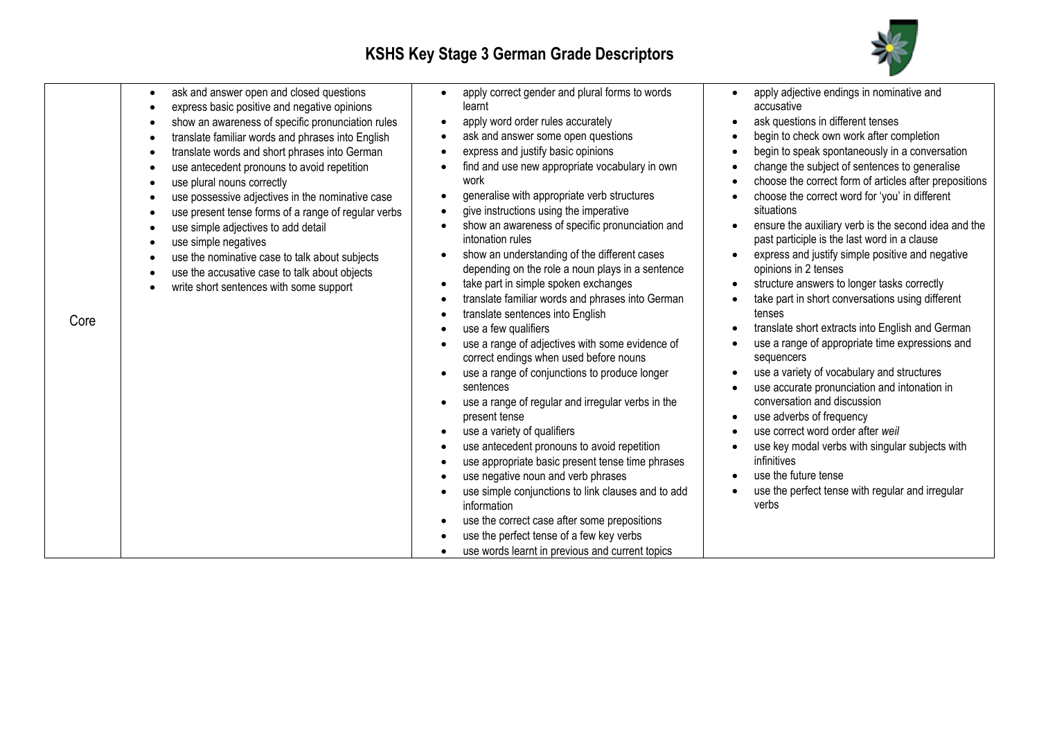

| Core | ask and answer open and closed questions<br>$\bullet$<br>express basic positive and negative opinions<br>$\bullet$<br>show an awareness of specific pronunciation rules<br>$\bullet$<br>translate familiar words and phrases into English<br>$\bullet$<br>translate words and short phrases into German<br>$\bullet$<br>use antecedent pronouns to avoid repetition<br>$\bullet$<br>use plural nouns correctly<br>$\bullet$<br>use possessive adjectives in the nominative case<br>$\bullet$<br>use present tense forms of a range of regular verbs<br>$\bullet$<br>use simple adjectives to add detail<br>$\bullet$<br>use simple negatives<br>$\bullet$<br>use the nominative case to talk about subjects<br>$\bullet$<br>use the accusative case to talk about objects<br>$\bullet$<br>write short sentences with some support<br>$\bullet$ | apply correct gender and plural forms to words<br>$\bullet$<br>learnt<br>apply word order rules accurately<br>ask and answer some open questions<br>express and justify basic opinions<br>find and use new appropriate vocabulary in own<br>work<br>generalise with appropriate verb structures<br>٠<br>give instructions using the imperative<br>show an awareness of specific pronunciation and<br>intonation rules<br>show an understanding of the different cases<br>depending on the role a noun plays in a sentence<br>take part in simple spoken exchanges<br>$\bullet$<br>translate familiar words and phrases into German<br>translate sentences into English<br>use a few qualifiers<br>use a range of adjectives with some evidence of<br>correct endings when used before nouns<br>use a range of conjunctions to produce longer<br>sentences<br>use a range of regular and irregular verbs in the<br>present tense<br>use a variety of qualifiers<br>use antecedent pronouns to avoid repetition<br>use appropriate basic present tense time phrases<br>use negative noun and verb phrases<br>use simple conjunctions to link clauses and to add<br>information<br>use the correct case after some prepositions<br>use the perfect tense of a few key verbs | apply adjective endings in nominative and<br>$\bullet$<br>accusative<br>ask questions in different tenses<br>$\bullet$<br>begin to check own work after completion<br>$\bullet$<br>begin to speak spontaneously in a conversation<br>$\bullet$<br>change the subject of sentences to generalise<br>$\bullet$<br>choose the correct form of articles after prepositions<br>$\bullet$<br>choose the correct word for 'you' in different<br>situations<br>ensure the auxiliary verb is the second idea and the<br>past participle is the last word in a clause<br>express and justify simple positive and negative<br>opinions in 2 tenses<br>structure answers to longer tasks correctly<br>$\bullet$<br>take part in short conversations using different<br>tenses<br>translate short extracts into English and German<br>$\bullet$<br>use a range of appropriate time expressions and<br>sequencers<br>use a variety of vocabulary and structures<br>use accurate pronunciation and intonation in<br>conversation and discussion<br>use adverbs of frequency<br>$\bullet$<br>use correct word order after weil<br>use key modal verbs with singular subjects with<br>infinitives<br>use the future tense<br>use the perfect tense with regular and irregular<br>verbs |
|------|------------------------------------------------------------------------------------------------------------------------------------------------------------------------------------------------------------------------------------------------------------------------------------------------------------------------------------------------------------------------------------------------------------------------------------------------------------------------------------------------------------------------------------------------------------------------------------------------------------------------------------------------------------------------------------------------------------------------------------------------------------------------------------------------------------------------------------------------|--------------------------------------------------------------------------------------------------------------------------------------------------------------------------------------------------------------------------------------------------------------------------------------------------------------------------------------------------------------------------------------------------------------------------------------------------------------------------------------------------------------------------------------------------------------------------------------------------------------------------------------------------------------------------------------------------------------------------------------------------------------------------------------------------------------------------------------------------------------------------------------------------------------------------------------------------------------------------------------------------------------------------------------------------------------------------------------------------------------------------------------------------------------------------------------------------------------------------------------------------------------------------|-----------------------------------------------------------------------------------------------------------------------------------------------------------------------------------------------------------------------------------------------------------------------------------------------------------------------------------------------------------------------------------------------------------------------------------------------------------------------------------------------------------------------------------------------------------------------------------------------------------------------------------------------------------------------------------------------------------------------------------------------------------------------------------------------------------------------------------------------------------------------------------------------------------------------------------------------------------------------------------------------------------------------------------------------------------------------------------------------------------------------------------------------------------------------------------------------------------------------------------------------------------------------|
|      |                                                                                                                                                                                                                                                                                                                                                                                                                                                                                                                                                                                                                                                                                                                                                                                                                                                | use words learnt in previous and current topics                                                                                                                                                                                                                                                                                                                                                                                                                                                                                                                                                                                                                                                                                                                                                                                                                                                                                                                                                                                                                                                                                                                                                                                                                          |                                                                                                                                                                                                                                                                                                                                                                                                                                                                                                                                                                                                                                                                                                                                                                                                                                                                                                                                                                                                                                                                                                                                                                                                                                                                       |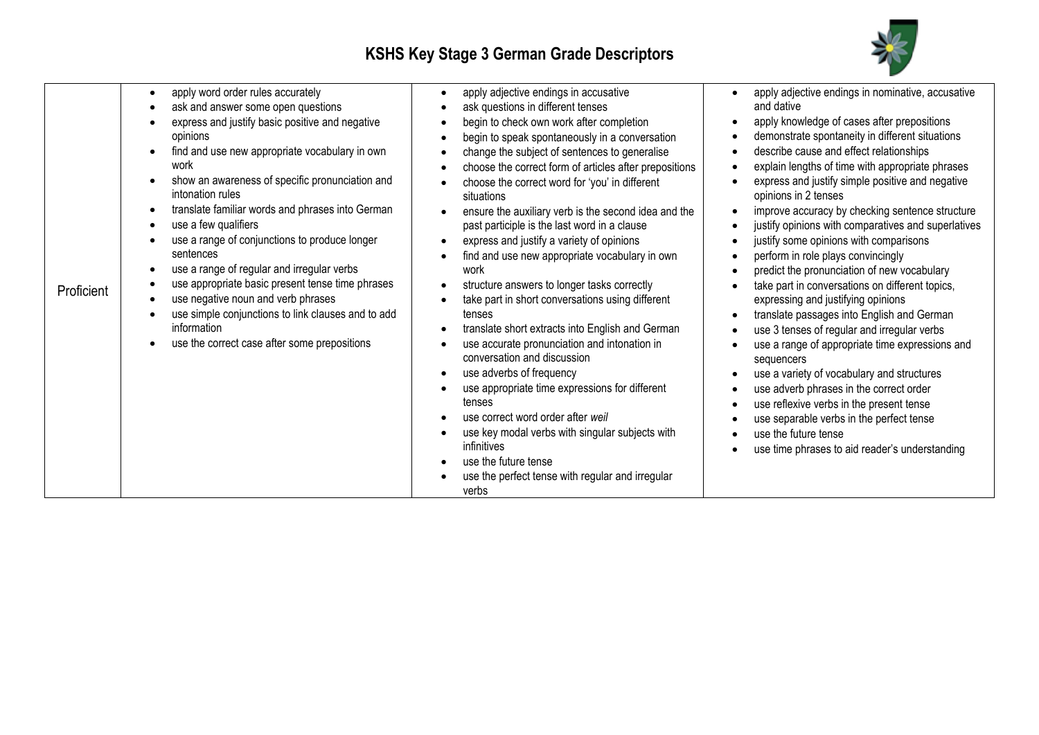┱



|            | apply word order rules accurately                                   | apply adjective endings in accusative                        | apply adjective endings in nominative, accusative                        |
|------------|---------------------------------------------------------------------|--------------------------------------------------------------|--------------------------------------------------------------------------|
|            | ask and answer some open questions<br>$\bullet$                     | ask questions in different tenses                            | and dative                                                               |
|            | express and justify basic positive and negative                     | begin to check own work after completion                     | apply knowledge of cases after prepositions                              |
|            | opinions                                                            | begin to speak spontaneously in a conversation               | demonstrate spontaneity in different situations                          |
|            | find and use new appropriate vocabulary in own<br>$\bullet$         | change the subject of sentences to generalise                | describe cause and effect relationships                                  |
|            | work                                                                | choose the correct form of articles after prepositions       | explain lengths of time with appropriate phrases                         |
|            | show an awareness of specific pronunciation and<br>intonation rules | choose the correct word for 'you' in different<br>situations | express and justify simple positive and negative<br>opinions in 2 tenses |
|            | translate familiar words and phrases into German<br>$\bullet$       | ensure the auxiliary verb is the second idea and the         | improve accuracy by checking sentence structure                          |
|            | use a few qualifiers<br>$\bullet$                                   | past participle is the last word in a clause                 | justify opinions with comparatives and superlatives                      |
|            | use a range of conjunctions to produce longer                       | express and justify a variety of opinions                    | justify some opinions with comparisons                                   |
|            | sentences                                                           | find and use new appropriate vocabulary in own               | perform in role plays convincingly                                       |
|            | use a range of regular and irregular verbs                          | work                                                         | predict the pronunciation of new vocabulary                              |
| Proficient | use appropriate basic present tense time phrases                    | structure answers to longer tasks correctly                  | take part in conversations on different topics,                          |
|            | use negative noun and verb phrases<br>$\bullet$                     | take part in short conversations using different             | expressing and justifying opinions                                       |
|            | use simple conjunctions to link clauses and to add                  | tenses                                                       | translate passages into English and German                               |
|            | information                                                         | translate short extracts into English and German             | use 3 tenses of regular and irregular verbs                              |
|            | use the correct case after some prepositions                        | use accurate pronunciation and intonation in                 | use a range of appropriate time expressions and                          |
|            |                                                                     | conversation and discussion                                  | sequencers                                                               |
|            |                                                                     | use adverbs of frequency                                     | use a variety of vocabulary and structures                               |
|            |                                                                     | use appropriate time expressions for different               | use adverb phrases in the correct order                                  |
|            |                                                                     | tenses                                                       | use reflexive verbs in the present tense                                 |
|            |                                                                     | use correct word order after weil                            | use separable verbs in the perfect tense                                 |
|            |                                                                     | use key modal verbs with singular subjects with              | use the future tense                                                     |
|            |                                                                     | infinitives                                                  | use time phrases to aid reader's understanding                           |
|            |                                                                     | use the future tense                                         |                                                                          |
|            |                                                                     | use the perfect tense with regular and irregular             |                                                                          |
|            |                                                                     | verbs                                                        |                                                                          |